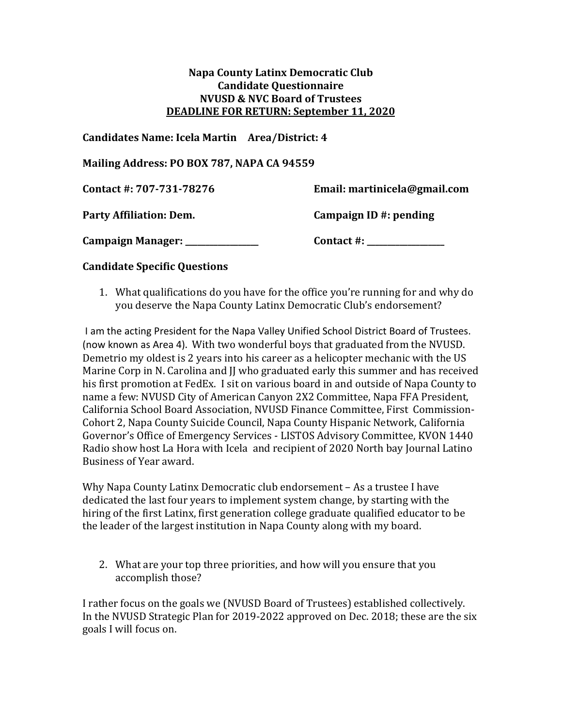## **Napa County Latinx Democratic Club Candidate Questionnaire NVUSD & NVC Board of Trustees DEADLINE FOR RETURN: September 11, 2020**

## **Candidates Name: Icela Martin Area/District: 4**

**Mailing Address: PO BOX 787, NAPA CA 94559**

| Contact #: 707-731-78276        | Email: martinicela@gmail.com |
|---------------------------------|------------------------------|
| <b>Party Affiliation: Dem.</b>  | Campaign ID #: pending       |
| Campaign Manager: _____________ | Contact #:                   |

## **Candidate Specific Questions**

1. What qualifications do you have for the office you're running for and why do you deserve the Napa County Latinx Democratic Club's endorsement?

I am the acting President for the Napa Valley Unified School District Board of Trustees. (now known as Area 4). With two wonderful boys that graduated from the NVUSD. Demetrio my oldest is 2 years into his career as a helicopter mechanic with the US Marine Corp in N. Carolina and JJ who graduated early this summer and has received his first promotion at FedEx. I sit on various board in and outside of Napa County to name a few: NVUSD City of American Canyon 2X2 Committee, Napa FFA President, California School Board Association, NVUSD Finance Committee, First Commission-Cohort 2, Napa County Suicide Council, Napa County Hispanic Network, California Governor's Office of Emergency Services - LISTOS Advisory Committee, KVON 1440 Radio show host La Hora with Icela and recipient of 2020 North bay Journal Latino Business of Year award.

Why Napa County Latinx Democratic club endorsement – As a trustee I have dedicated the last four years to implement system change, by starting with the hiring of the first Latinx, first generation college graduate qualified educator to be the leader of the largest institution in Napa County along with my board.

2. What are your top three priorities, and how will you ensure that you accomplish those?

I rather focus on the goals we (NVUSD Board of Trustees) established collectively. In the NVUSD Strategic Plan for 2019-2022 approved on Dec. 2018; these are the six goals I will focus on.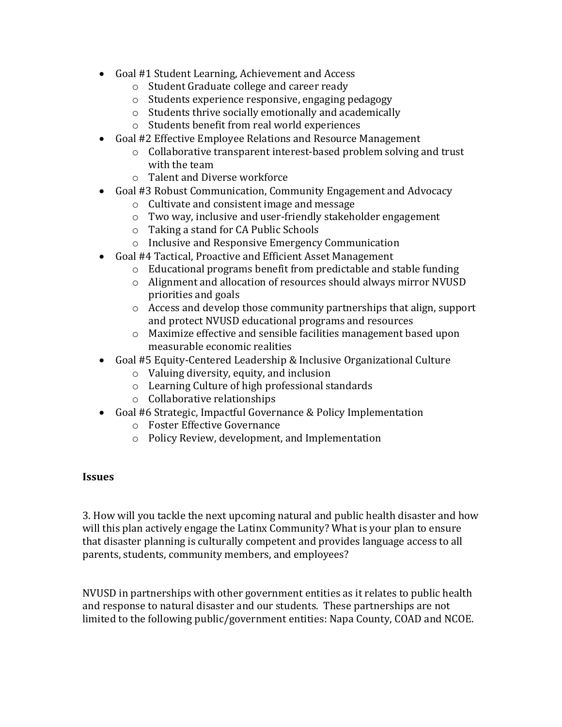- Goal #1 Student Learning, Achievement and Access
	- o Student Graduate college and career ready
	- o Students experience responsive, engaging pedagogy
	- o Students thrive socially emotionally and academically
	- o Students benefit from real world experiences
- Goal #2 Effective Employee Relations and Resource Management
	- o Collaborative transparent interest-based problem solving and trust with the team
	- o Talent and Diverse workforce
- Goal #3 Robust Communication, Community Engagement and Advocacy
	- o Cultivate and consistent image and message
	- o Two way, inclusive and user-friendly stakeholder engagement
	- o Taking a stand for CA Public Schools
	- o Inclusive and Responsive Emergency Communication
- Goal #4 Tactical, Proactive and Efficient Asset Management
	- o Educational programs benefit from predictable and stable funding
	- o Alignment and allocation of resources should always mirror NVUSD priorities and goals
	- o Access and develop those community partnerships that align, support and protect NVUSD educational programs and resources
	- o Maximize effective and sensible facilities management based upon measurable economic realities
- Goal #5 Equity-Centered Leadership & Inclusive Organizational Culture
	- o Valuing diversity, equity, and inclusion
	- o Learning Culture of high professional standards
	- o Collaborative relationships
- Goal #6 Strategic, Impactful Governance & Policy Implementation
	- o Foster Effective Governance
	- o Policy Review, development, and Implementation

## **Issues**

3. How will you tackle the next upcoming natural and public health disaster and how will this plan actively engage the Latinx Community? What is your plan to ensure that disaster planning is culturally competent and provides language access to all parents, students, community members, and employees?

NVUSD in partnerships with other government entities as it relates to public health and response to natural disaster and our students. These partnerships are not limited to the following public/government entities: Napa County, COAD and NCOE.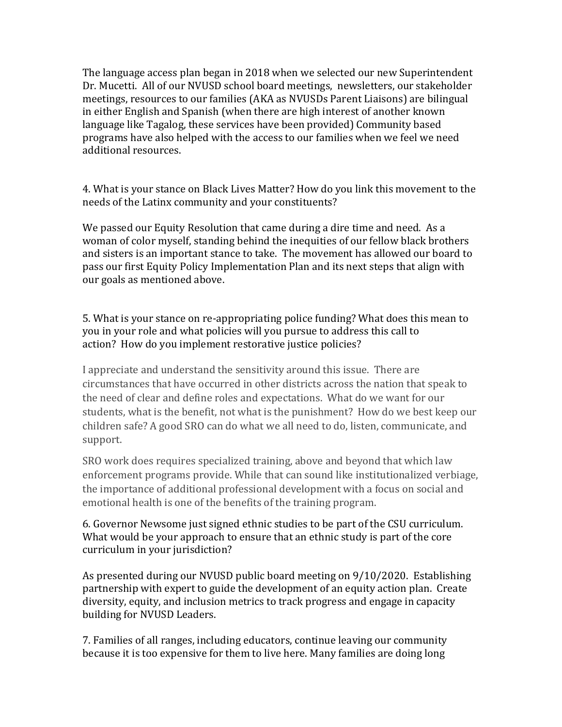The language access plan began in 2018 when we selected our new Superintendent Dr. Mucetti. All of our NVUSD school board meetings, newsletters, our stakeholder meetings, resources to our families (AKA as NVUSDs Parent Liaisons) are bilingual in either English and Spanish (when there are high interest of another known language like Tagalog, these services have been provided) Community based programs have also helped with the access to our families when we feel we need additional resources.

4. What is your stance on Black Lives Matter? How do you link this movement to the needs of the Latinx community and your constituents?

We passed our Equity Resolution that came during a dire time and need. As a woman of color myself, standing behind the inequities of our fellow black brothers and sisters is an important stance to take. The movement has allowed our board to pass our first Equity Policy Implementation Plan and its next steps that align with our goals as mentioned above.

5. What is your stance on re-appropriating police funding? What does this mean to you in your role and what policies will you pursue to address this call to action? How do you implement restorative justice policies?

I appreciate and understand the sensitivity around this issue. There are circumstances that have occurred in other districts across the nation that speak to the need of clear and define roles and expectations. What do we want for our students, what is the benefit, not what is the punishment? How do we best keep our children safe? A good SRO can do what we all need to do, listen, communicate, and support.

SRO work does requires specialized training, above and beyond that which law enforcement programs provide. While that can sound like institutionalized verbiage, the importance of additional professional development with a focus on social and emotional health is one of the benefits of the training program.

6. Governor Newsome just signed ethnic studies to be part of the CSU curriculum. What would be your approach to ensure that an ethnic study is part of the core curriculum in your jurisdiction?

As presented during our NVUSD public board meeting on 9/10/2020. Establishing partnership with expert to guide the development of an equity action plan. Create diversity, equity, and inclusion metrics to track progress and engage in capacity building for NVUSD Leaders.

7. Families of all ranges, including educators, continue leaving our community because it is too expensive for them to live here. Many families are doing long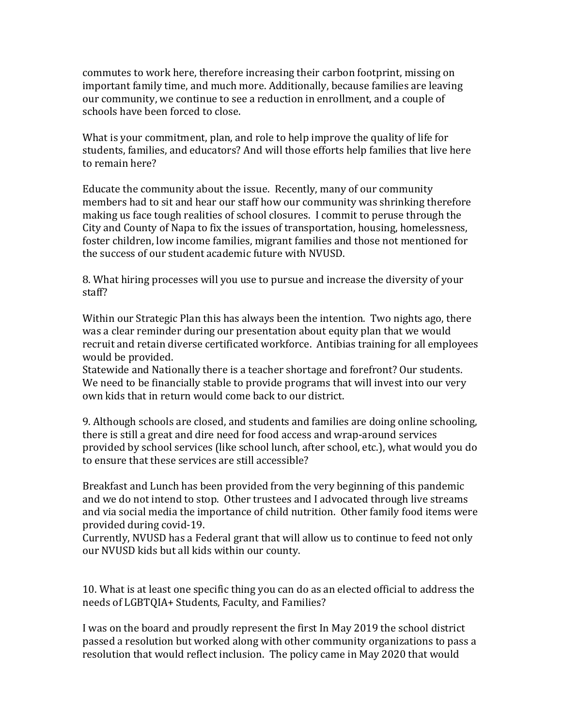commutes to work here, therefore increasing their carbon footprint, missing on important family time, and much more. Additionally, because families are leaving our community, we continue to see a reduction in enrollment, and a couple of schools have been forced to close.

What is your commitment, plan, and role to help improve the quality of life for students, families, and educators? And will those efforts help families that live here to remain here?

Educate the community about the issue. Recently, many of our community members had to sit and hear our staff how our community was shrinking therefore making us face tough realities of school closures. I commit to peruse through the City and County of Napa to fix the issues of transportation, housing, homelessness, foster children, low income families, migrant families and those not mentioned for the success of our student academic future with NVUSD.

8. What hiring processes will you use to pursue and increase the diversity of your staff?

Within our Strategic Plan this has always been the intention. Two nights ago, there was a clear reminder during our presentation about equity plan that we would recruit and retain diverse certificated workforce. Antibias training for all employees would be provided.

Statewide and Nationally there is a teacher shortage and forefront? Our students. We need to be financially stable to provide programs that will invest into our very own kids that in return would come back to our district.

9. Although schools are closed, and students and families are doing online schooling, there is still a great and dire need for food access and wrap-around services provided by school services (like school lunch, after school, etc.), what would you do to ensure that these services are still accessible?

Breakfast and Lunch has been provided from the very beginning of this pandemic and we do not intend to stop. Other trustees and I advocated through live streams and via social media the importance of child nutrition. Other family food items were provided during covid-19.

Currently, NVUSD has a Federal grant that will allow us to continue to feed not only our NVUSD kids but all kids within our county.

10. What is at least one specific thing you can do as an elected official to address the needs of LGBTQIA+ Students, Faculty, and Families?

I was on the board and proudly represent the first In May 2019 the school district passed a resolution but worked along with other community organizations to pass a resolution that would reflect inclusion. The policy came in May 2020 that would